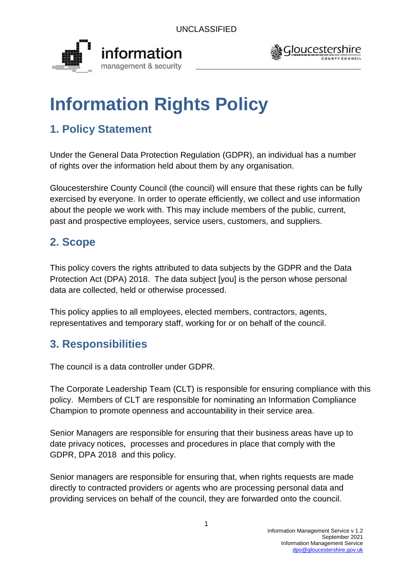



# **Information Rights Policy**

# **1. Policy Statement**

Under the General Data Protection Regulation (GDPR), an individual has a number of rights over the information held about them by any organisation.

Gloucestershire County Council (the council) will ensure that these rights can be fully exercised by everyone. In order to operate efficiently, we collect and use information about the people we work with. This may include members of the public, current, past and prospective employees, service users, customers, and suppliers.

# **2. Scope**

This policy covers the rights attributed to data subjects by the GDPR and the Data Protection Act (DPA) 2018. The data subject [you] is the person whose personal data are collected, held or otherwise processed.

This policy applies to all employees, elected members, contractors, agents, representatives and temporary staff, working for or on behalf of the council.

# **3. Responsibilities**

The council is a data controller under GDPR.

The Corporate Leadership Team (CLT) is responsible for ensuring compliance with this policy. Members of CLT are responsible for nominating an Information Compliance Champion to promote openness and accountability in their service area.

Senior Managers are responsible for ensuring that their business areas have up to date privacy notices, processes and procedures in place that comply with the GDPR, DPA 2018 and this policy.

Senior managers are responsible for ensuring that, when rights requests are made directly to contracted providers or agents who are processing personal data and providing services on behalf of the council, they are forwarded onto the council.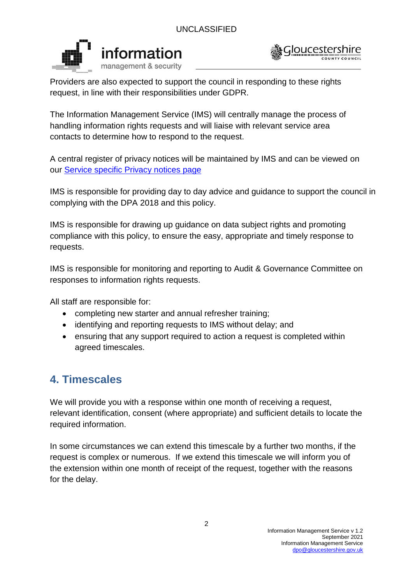



Providers are also expected to support the council in responding to these rights request, in line with their responsibilities under GDPR.

The Information Management Service (IMS) will centrally manage the process of handling information rights requests and will liaise with relevant service area contacts to determine how to respond to the request.

A central register of privacy notices will be maintained by IMS and can be viewed on our [Service specific Privacy notices page](https://www.gloucestershire.gov.uk/council-and-democracy/data-protection/service-specific-privacy-notices/)

IMS is responsible for providing day to day advice and guidance to support the council in complying with the DPA 2018 and this policy.

IMS is responsible for drawing up guidance on data subject rights and promoting compliance with this policy, to ensure the easy, appropriate and timely response to requests.

IMS is responsible for monitoring and reporting to Audit & Governance Committee on responses to information rights requests.

All staff are responsible for:

- completing new starter and annual refresher training;
- identifying and reporting requests to IMS without delay; and
- ensuring that any support required to action a request is completed within agreed timescales.

# **4. Timescales**

We will provide you with a response within one month of receiving a request, relevant identification, consent (where appropriate) and sufficient details to locate the required information.

In some circumstances we can extend this timescale by a further two months, if the request is complex or numerous. If we extend this timescale we will inform you of the extension within one month of receipt of the request, together with the reasons for the delay.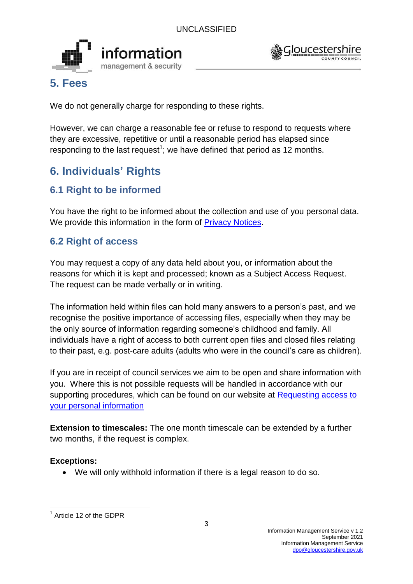



## **5. Fees**

We do not generally charge for responding to these rights.

However, we can charge a reasonable fee or refuse to respond to requests where they are excessive, repetitive or until a reasonable period has elapsed since responding to the last request<sup>1</sup>; we have defined that period as 12 months.

# **6. Individuals' Rights**

## **6.1 Right to be informed**

You have the right to be informed about the collection and use of you personal data. We provide this information in the form of [Privacy Notices.](https://www.gloucestershire.gov.uk/council-and-democracy/data-protection/privacy-notices/)

## **6.2 Right of access**

You may request a copy of any data held about you, or information about the reasons for which it is kept and processed; known as a Subject Access Request. The request can be made verbally or in writing.

The information held within files can hold many answers to a person's past, and we recognise the positive importance of accessing files, especially when they may be the only source of information regarding someone's childhood and family. All individuals have a right of access to both current open files and closed files relating to their past, e.g. post-care adults (adults who were in the council's care as children).

If you are in receipt of council services we aim to be open and share information with you. Where this is not possible requests will be handled in accordance with our supporting procedures, which can be found on our website at [Requesting access to](http://www.gloucestershire.gov.uk/council-and-democracy/data-protection/requesting-access-to-your-personal-information/)  [your personal information](http://www.gloucestershire.gov.uk/council-and-democracy/data-protection/requesting-access-to-your-personal-information/)

**Extension to timescales:** The one month timescale can be extended by a further two months, if the request is complex.

## **Exceptions:**

We will only withhold information if there is a legal reason to do so.

<sup>1</sup> <sup>1</sup> Article 12 of the GDPR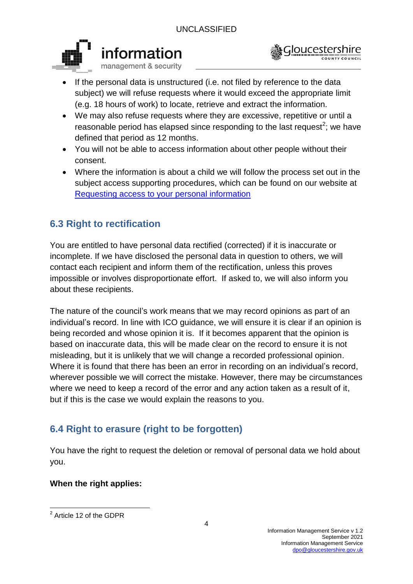



- If the personal data is unstructured (i.e. not filed by reference to the data subject) we will refuse requests where it would exceed the appropriate limit (e.g. 18 hours of work) to locate, retrieve and extract the information.
- We may also refuse requests where they are excessive, repetitive or until a reasonable period has elapsed since responding to the last request<sup>2</sup>; we have defined that period as 12 months.
- You will not be able to access information about other people without their consent.
- Where the information is about a child we will follow the process set out in the subject access supporting procedures, which can be found on our website at [Requesting access to your personal information](http://www.gloucestershire.gov.uk/council-and-democracy/data-protection/requesting-access-to-your-personal-information/)

## **6.3 Right to rectification**

You are entitled to have personal data rectified (corrected) if it is inaccurate or incomplete. If we have disclosed the personal data in question to others, we will contact each recipient and inform them of the rectification, unless this proves impossible or involves disproportionate effort. If asked to, we will also inform you about these recipients.

The nature of the council's work means that we may record opinions as part of an individual's record. In line with ICO guidance, we will ensure it is clear if an opinion is being recorded and whose opinion it is. If it becomes apparent that the opinion is based on inaccurate data, this will be made clear on the record to ensure it is not misleading, but it is unlikely that we will change a recorded professional opinion. Where it is found that there has been an error in recording on an individual's record, wherever possible we will correct the mistake. However, there may be circumstances where we need to keep a record of the error and any action taken as a result of it, but if this is the case we would explain the reasons to you.

## **6.4 Right to erasure (right to be forgotten)**

You have the right to request the deletion or removal of personal data we hold about you.

## **When the right applies:**

 2 Article 12 of the GDPR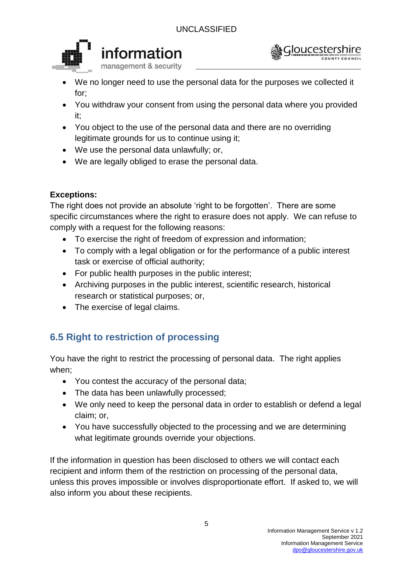



- We no longer need to use the personal data for the purposes we collected it for;
- You withdraw your consent from using the personal data where you provided it;
- You object to the use of the personal data and there are no overriding legitimate grounds for us to continue using it;
- We use the personal data unlawfully; or,
- We are legally obliged to erase the personal data.

## **Exceptions:**

The right does not provide an absolute 'right to be forgotten'. There are some specific circumstances where the right to erasure does not apply. We can refuse to comply with a request for the following reasons:

- To exercise the right of freedom of expression and information:
- To comply with a legal obligation or for the performance of a public interest task or exercise of official authority;
- For public health purposes in the public interest;
- Archiving purposes in the public interest, scientific research, historical research or statistical purposes; or,
- The exercise of legal claims.

## **6.5 Right to restriction of processing**

You have the right to restrict the processing of personal data. The right applies when;

- You contest the accuracy of the personal data;
- The data has been unlawfully processed;
- We only need to keep the personal data in order to establish or defend a legal claim; or,
- You have successfully objected to the processing and we are determining what legitimate grounds override your objections.

If the information in question has been disclosed to others we will contact each recipient and inform them of the restriction on processing of the personal data, unless this proves impossible or involves disproportionate effort. If asked to, we will also inform you about these recipients.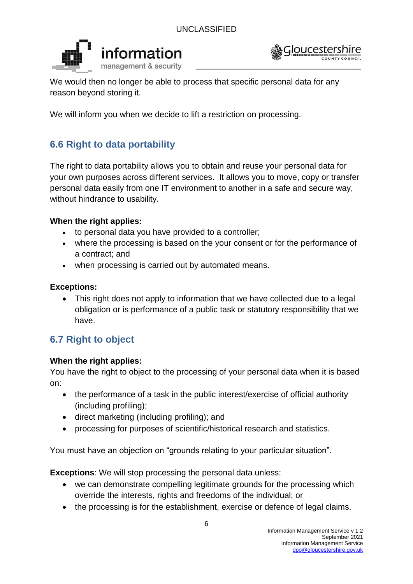



We would then no longer be able to process that specific personal data for any reason beyond storing it.

We will inform you when we decide to lift a restriction on processing.

## **6.6 Right to data portability**

The right to data portability allows you to obtain and reuse your personal data for your own purposes across different services. It allows you to move, copy or transfer personal data easily from one IT environment to another in a safe and secure way, without hindrance to usability.

## **When the right applies:**

- to personal data you have provided to a controller;
- where the processing is based on the your consent or for the performance of a contract; and
- when processing is carried out by automated means.

#### **Exceptions:**

• This right does not apply to information that we have collected due to a legal obligation or is performance of a public task or statutory responsibility that we have.

## **6.7 Right to object**

## **When the right applies:**

You have the right to object to the processing of your personal data when it is based on:

- the performance of a task in the public interest/exercise of official authority (including profiling);
- direct marketing (including profiling); and
- processing for purposes of scientific/historical research and statistics.

You must have an objection on "grounds relating to your particular situation".

**Exceptions**: We will stop processing the personal data unless:

- we can demonstrate compelling legitimate grounds for the processing which override the interests, rights and freedoms of the individual; or
- the processing is for the establishment, exercise or defence of legal claims.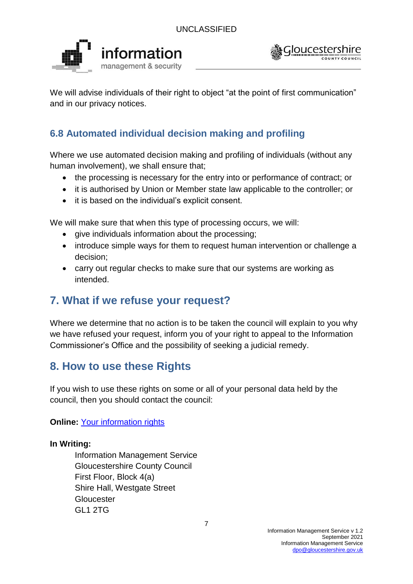



We will advise individuals of their right to object "at the point of first communication" and in our privacy notices.

## **6.8 Automated individual decision making and profiling**

Where we use automated decision making and profiling of individuals (without any human involvement), we shall ensure that;

- the processing is necessary for the entry into or performance of contract; or
- it is authorised by Union or Member state law applicable to the controller; or
- it is based on the individual's explicit consent.

We will make sure that when this type of processing occurs, we will:

- give individuals information about the processing;
- introduce simple ways for them to request human intervention or challenge a decision;
- carry out regular checks to make sure that our systems are working as intended.

# **7. What if we refuse your request?**

Where we determine that no action is to be taken the council will explain to you why we have refused your request, inform you of your right to appeal to the Information Commissioner's Office and the possibility of seeking a judicial remedy.

# **8. How to use these Rights**

If you wish to use these rights on some or all of your personal data held by the council, then you should contact the council:

**Online:** [Your information rights](https://www.gloucestershire.gov.uk/council-and-democracy/data-protection/your-information-rights/)

## **In Writing:**

Information Management Service Gloucestershire County Council First Floor, Block 4(a) Shire Hall, Westgate Street **Gloucester** GL1 2TG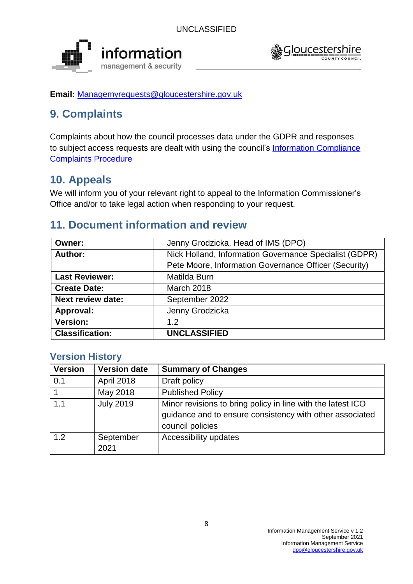



**Email:** [Managemyrequests@gloucestershire.gov.uk](mailto:Managemyrequests@gloucestershire.gov.uk)

# **9. Complaints**

Complaints about how the council processes data under the GDPR and responses to subject access requests are dealt with using the council's [Information Compliance](https://www.gloucestershire.gov.uk/media/5791/2016_information_compliance_complaints_procedure_v3-0-65013.pdf)  [Complaints Procedure](https://www.gloucestershire.gov.uk/media/5791/2016_information_compliance_complaints_procedure_v3-0-65013.pdf)

# **10. Appeals**

We will inform you of your relevant right to appeal to the Information Commissioner's Office and/or to take legal action when responding to your request.

# **11. Document information and review**

| Owner:                   | Jenny Grodzicka, Head of IMS (DPO)                     |
|--------------------------|--------------------------------------------------------|
| Author:                  | Nick Holland, Information Governance Specialist (GDPR) |
|                          | Pete Moore, Information Governance Officer (Security)  |
| <b>Last Reviewer:</b>    | Matilda Burn                                           |
| <b>Create Date:</b>      | <b>March 2018</b>                                      |
| <b>Next review date:</b> | September 2022                                         |
| Approval:                | Jenny Grodzicka                                        |
| <b>Version:</b>          | 1.2 <sub>2</sub>                                       |
| <b>Classification:</b>   | <b>UNCLASSIFIED</b>                                    |

## **Version History**

| <b>Version</b> | <b>Version date</b> | <b>Summary of Changes</b>                                                                                                                   |
|----------------|---------------------|---------------------------------------------------------------------------------------------------------------------------------------------|
| 0.1            | April 2018          | Draft policy                                                                                                                                |
|                | May 2018            | <b>Published Policy</b>                                                                                                                     |
| 1.1            | <b>July 2019</b>    | Minor revisions to bring policy in line with the latest ICO<br>guidance and to ensure consistency with other associated<br>council policies |
| 1.2            | September<br>2021   | Accessibility updates                                                                                                                       |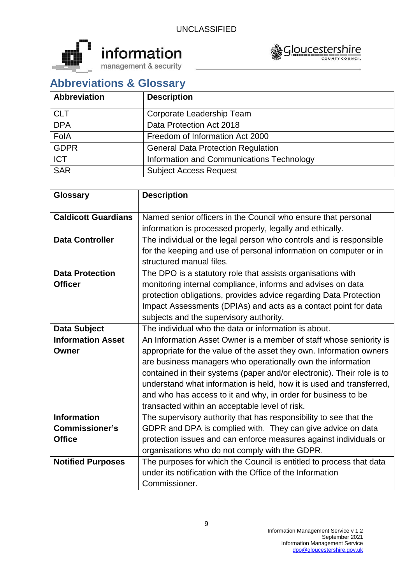



# **Abbreviations & Glossary**

| <b>Abbreviation</b> | <b>Description</b>                        |
|---------------------|-------------------------------------------|
| <b>CLT</b>          | Corporate Leadership Team                 |
| <b>DPA</b>          | Data Protection Act 2018                  |
| FolA                | Freedom of Information Act 2000           |
| <b>GDPR</b>         | <b>General Data Protection Regulation</b> |
| <b>ICT</b>          | Information and Communications Technology |
| <b>SAR</b>          | <b>Subject Access Request</b>             |

| <b>Glossary</b>            | <b>Description</b>                                                     |
|----------------------------|------------------------------------------------------------------------|
| <b>Caldicott Guardians</b> | Named senior officers in the Council who ensure that personal          |
|                            | information is processed properly, legally and ethically.              |
| <b>Data Controller</b>     | The individual or the legal person who controls and is responsible     |
|                            | for the keeping and use of personal information on computer or in      |
|                            | structured manual files.                                               |
| <b>Data Protection</b>     | The DPO is a statutory role that assists organisations with            |
| <b>Officer</b>             | monitoring internal compliance, informs and advises on data            |
|                            | protection obligations, provides advice regarding Data Protection      |
|                            | Impact Assessments (DPIAs) and acts as a contact point for data        |
|                            | subjects and the supervisory authority.                                |
| <b>Data Subject</b>        | The individual who the data or information is about.                   |
| <b>Information Asset</b>   | An Information Asset Owner is a member of staff whose seniority is     |
| Owner                      | appropriate for the value of the asset they own. Information owners    |
|                            | are business managers who operationally own the information            |
|                            | contained in their systems (paper and/or electronic). Their role is to |
|                            | understand what information is held, how it is used and transferred,   |
|                            | and who has access to it and why, in order for business to be          |
|                            | transacted within an acceptable level of risk.                         |
| <b>Information</b>         | The supervisory authority that has responsibility to see that the      |
| <b>Commissioner's</b>      | GDPR and DPA is complied with. They can give advice on data            |
| <b>Office</b>              | protection issues and can enforce measures against individuals or      |
|                            | organisations who do not comply with the GDPR.                         |
| <b>Notified Purposes</b>   | The purposes for which the Council is entitled to process that data    |
|                            | under its notification with the Office of the Information              |
|                            | Commissioner.                                                          |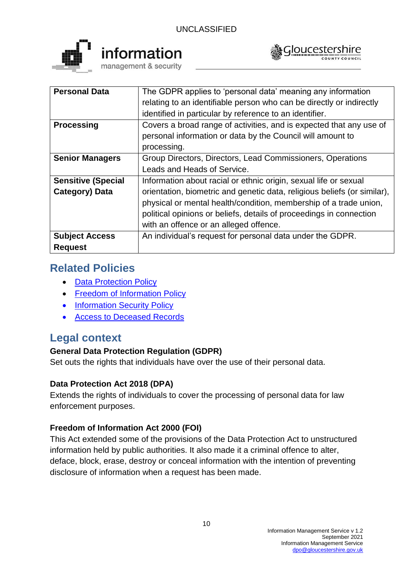



| <b>Personal Data</b>      | The GDPR applies to 'personal data' meaning any information              |
|---------------------------|--------------------------------------------------------------------------|
|                           | relating to an identifiable person who can be directly or indirectly     |
|                           | identified in particular by reference to an identifier.                  |
| <b>Processing</b>         | Covers a broad range of activities, and is expected that any use of      |
|                           | personal information or data by the Council will amount to               |
|                           | processing.                                                              |
| <b>Senior Managers</b>    | Group Directors, Directors, Lead Commissioners, Operations               |
|                           | Leads and Heads of Service.                                              |
| <b>Sensitive (Special</b> | Information about racial or ethnic origin, sexual life or sexual         |
| Category) Data            | orientation, biometric and genetic data, religious beliefs (or similar), |
|                           | physical or mental health/condition, membership of a trade union,        |
|                           | political opinions or beliefs, details of proceedings in connection      |
|                           | with an offence or an alleged offence.                                   |
| <b>Subject Access</b>     | An individual's request for personal data under the GDPR.                |
| <b>Request</b>            |                                                                          |

# **Related Policies**

- [Data Protection Policy](https://www.gloucestershire.gov.uk/media/2100343/2018-data-protection-policy-v5-5.pdf)
- [Freedom of Information Policy](https://www.gloucestershire.gov.uk/media/13741/2015-freedom-of-information-and-environmental-information-policy-v5-1.pdf)
- [Information Security Policy](https://www.gloucestershire.gov.uk/media/13742/information-security-policy-v24-04-2016.pdf)
- [Access to Deceased Records](https://www.gloucestershire.gov.uk/media/14068/access-to-deceased-persons-records-policy-v20.pdf)

# **Legal context**

## **General Data Protection Regulation (GDPR)**

Set outs the rights that individuals have over the use of their personal data.

## **Data Protection Act 2018 (DPA)**

Extends the rights of individuals to cover the processing of personal data for law enforcement purposes.

## **Freedom of Information Act 2000 (FOI)**

This Act extended some of the provisions of the Data Protection Act to unstructured information held by public authorities. It also made it a criminal offence to alter, deface, block, erase, destroy or conceal information with the intention of preventing disclosure of information when a request has been made.